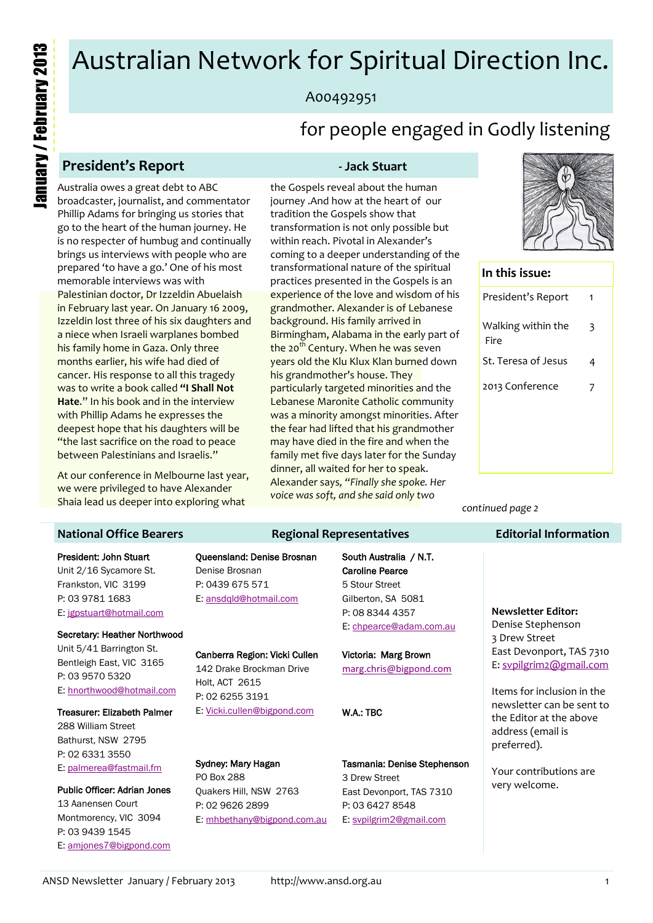# Australian Network for Spiritual Direction Inc.

# A00492951

# for people engaged in Godly listening

# **President's Report - Jack Stuart**

Australia owes a great debt to ABC broadcaster, journalist, and commentator Phillip Adams for bringing us stories that go to the heart of the human journey. He is no respecter of humbug and continually brings us interviews with people who are prepared 'to have a go.' One of his most memorable interviews was with Palestinian doctor, Dr Izzeldin Abuelaish in February last year. On January 16 2009, Izzeldin lost three of his six daughters and a niece when Israeli warplanes bombed his family home in Gaza. Only three months earlier, his wife had died of cancer. His response to all this tragedy was to write a book called **"I Shall Not Hate**." In his book and in the interview with Phillip Adams he expresses the deepest hope that his daughters will be "the last sacrifice on the road to peace between Palestinians and Israelis."

At our conference in Melbourne last year, we were privileged to have Alexander Shaia lead us deeper into exploring what

the Gospels reveal about the human journey .And how at the heart of our tradition the Gospels show that transformation is not only possible but within reach. Pivotal in Alexander's coming to a deeper understanding of the transformational nature of the spiritual practices presented in the Gospels is an experience of the love and wisdom of his grandmother. Alexander is of Lebanese background. His family arrived in Birmingham, Alabama in the early part of the 20<sup>th</sup> Century. When he was seven years old the Klu Klux Klan burned down his grandmother's house. They particularly targeted minorities and the Lebanese Maronite Catholic community was a minority amongst minorities. After the fear had lifted that his grandmother may have died in the fire and when the family met five days later for the Sunday dinner, all waited for her to speak. Alexander says*, "Finally she spoke. Her voice was soft, and she said only two* 



#### **In this issue:**

| President's Report         | 1 |
|----------------------------|---|
| Walking within the<br>Fire | 3 |
| St. Teresa of Jesus        | 4 |
| 2013 Conference            | 7 |
|                            |   |
|                            |   |
|                            |   |

*continued page 2*

### **Editorial Information**

#### **National Office Bearers**

#### President: John Stuart Unit 2/16 Sycamore St. Frankston, VIC 3199 P: 03 9781 1683 E: [jgpstuart@hotmail.com](mailto:jgpstuart@hotmail.com)

#### Secretary: Heather Northwood Unit 5/41 Barrington St. Bentleigh East, VIC 3165

P: 03 9570 5320 E: [hnorthwood@hotmail.com](mailto:hnorthwood@hotmail.com)

#### Treasurer: Elizabeth Palmer

288 William Street Bathurst, NSW 2795 P: 02 6331 3550 E: [palmerea@fastmail.fm](mailto:palmerea@fastmail.fm)

Public Officer: Adrian Jones 13 Aanensen Court Montmorency, VIC 3094 P: 03 9439 1545 E: [amjones7@bigpond.com](mailto:amjones7@bigpond.com)

#### Queensland: Denise Brosnan Denise Brosnan P: 0439 675 571 E: [ansdqld@hotmail.com](mailto:ansdqld@hotmail.com)

#### Canberra Region: Vicki Cullen 142 Drake Brockman Drive Holt, ACT 2615 P: 02 6255 3191

E: [Vicki.cullen@bigpond.com](mailto:Vicki.cullen@bigpond.com)

#### Sydney: Mary Hagan PO Box 288 Quakers Hill, NSW 2763 P: 02 9626 2899 E: [mhbethany@bigpond.com.au](mailto:mhbethany@bigpond.com.au)

South Australia / N.T. Caroline Pearce 5 Stour Street Gilberton, SA 5081 P: 08 8344 4357 E: [chpearce@adam.com.au](mailto:chpearce@adam.com.au)

Victoria: Marg Brown [marg.chris@bigpond.com](mailto:marg.chris@bigpond.com)

#### W.A.: TBC

**Regional Representatives**

Tasmania: Denise Stephenson 3 Drew Street East Devonport, TAS 7310 P: 03 6427 8548 E: [svpilgrim2@gmail.com](mailto:svpilgrim2@gmail.com)

#### **Newsletter Editor:** Denise Stephenson 3 Drew Street East Devonport, TAS 7310 E: [svpilgrim2@gmail.com](mailto:svpilgrim2@gmail.com)

Items for inclusion in the newsletter can be sent to the Editor at the above address (email is preferred).

Your contributions are very welcome.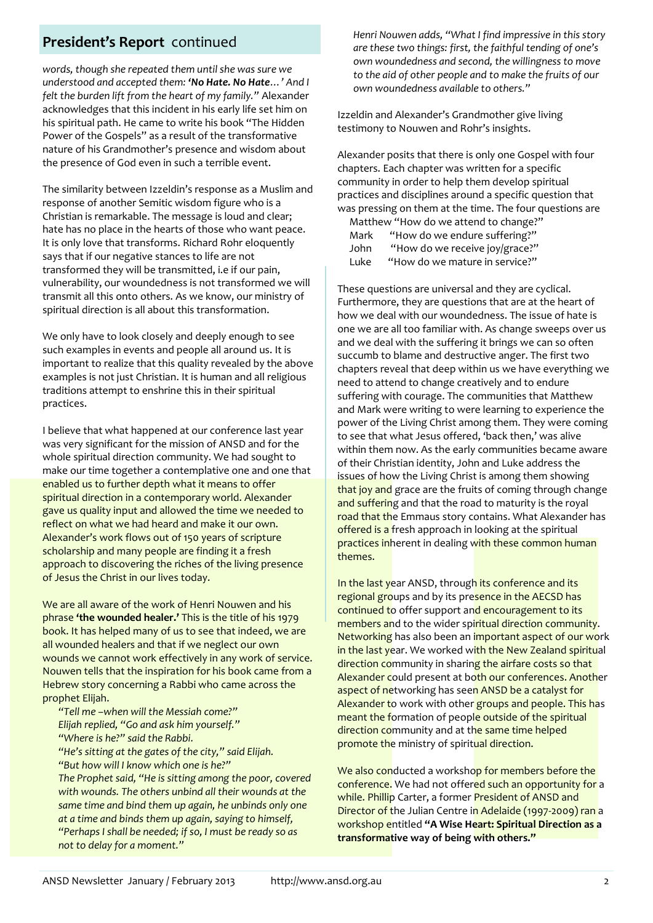*words, though she repeated them until she was sure we understood and accepted them: 'No Hate. No Hate…' And I felt the burden lift from the heart of my family."* Alexander acknowledges that this incident in his early life set him on his spiritual path. He came to write his book "The Hidden Power of the Gospels" as a result of the transformative nature of his Grandmother's presence and wisdom about the presence of God even in such a terrible event.

The similarity between Izzeldin's response as a Muslim and response of another Semitic wisdom figure who is a Christian is remarkable. The message is loud and clear; hate has no place in the hearts of those who want peace. It is only love that transforms. Richard Rohr eloquently says that if our negative stances to life are not transformed they will be transmitted, i.e if our pain, vulnerability, our woundedness is not transformed we will transmit all this onto others. As we know, our ministry of spiritual direction is all about this transformation.

We only have to look closely and deeply enough to see such examples in events and people all around us. It is important to realize that this quality revealed by the above examples is not just Christian. It is human and all religious traditions attempt to enshrine this in their spiritual practices.

I believe that what happened at our conference last year was very significant for the mission of ANSD and for the whole spiritual direction community. We had sought to make our time together a contemplative one and one that enabled us to further depth what it means to offer spiritual direction in a contemporary world. Alexander gave us quality input and allowed the time we needed to reflect on what we had heard and make it our own. Alexander's work flows out of 150 years of scripture scholarship and many people are finding it a fresh approach to discovering the riches of the living presence of Jesus the Christ in our lives today.

We are all aware of the work of Henri Nouwen and his phrase **'the wounded healer.'** This is the title of his 1979 book. It has helped many of us to see that indeed, we are all wounded healers and that if we neglect our own wounds we cannot work effectively in any work of service. Nouwen tells that the inspiration for his book came from a Hebrew story concerning a Rabbi who came across the prophet Elijah.

*"Tell me –when will the Messiah come?" Elijah replied, "Go and ask him yourself." "Where is he?" said the Rabbi.*

*"He's sitting at the gates of the city," said Elijah. "But how will I know which one is he?"*

*The Prophet said, "He is sitting among the poor, covered with wounds. The others unbind all their wounds at the same time and bind them up again, he unbinds only one at a time and binds them up again, saying to himself, "Perhaps I shall be needed; if so, I must be ready so as not to delay for a moment."* 

**President's Report** continued *Henri Nouwen adds, "What I find impressive in this story Henri Nouwen adds, "What I find impressive in this story are these two things: first, the faithful tending of one's own woundedness and second, the willingness to move to the aid of other people and to make the fruits of our own woundedness available to others."*

> Izzeldin and Alexander's Grandmother give living testimony to Nouwen and Rohr's insights.

Alexander posits that there is only one Gospel with four chapters. Each chapter was written for a specific community in order to help them develop spiritual practices and disciplines around a specific question that was pressing on them at the time. The four questions are

|      | Matthew "How do we attend to change?" |
|------|---------------------------------------|
| Mark | "How do we endure suffering?"         |
| John | "How do we receive joy/grace?"        |
| Luke | "How do we mature in service?"        |
|      |                                       |

These questions are universal and they are cyclical. Furthermore, they are questions that are at the heart of how we deal with our woundedness. The issue of hate is one we are all too familiar with. As change sweeps over us and we deal with the suffering it brings we can so often succumb to blame and destructive anger. The first two chapters reveal that deep within us we have everything we need to attend to change creatively and to endure suffering with courage. The communities that Matthew and Mark were writing to were learning to experience the power of the Living Christ among them. They were coming to see that what Jesus offered, 'back then,' was alive within them now. As the early communities became aware of their Christian identity, John and Luke address the issues of how the Living Christ is among them showing that joy and grace are the fruits of coming through change and suffering and that the road to maturity is the royal road that the Emmaus story contains. What Alexander has offered is a fresh approach in looking at the spiritual practices inherent in dealing with these common human themes.

In the last year ANSD, through its conference and its regional groups and by its presence in the AECSD has continued to offer support and encouragement to its members and to the wider spiritual direction community. Networking has also been an important aspect of our work in the last year. We worked with the New Zealand spiritual direction community in sharing the airfare costs so that Alexander could present at both our conferences. Another aspect of networking has seen ANSD be a catalyst for Alexander to work with other groups and people. This has meant the formation of people outside of the spiritual direction community and at the same time helped promote the ministry of spiritual direction.

We also conducted a workshop for members before the conference. We had not offered such an opportunity for a while. Phillip Carter, a former President of ANSD and Director of the Julian Centre in Adelaide (1997-2009) ran a workshop entitled **"A Wise Heart: Spiritual Direction as a transformative way of being with others."**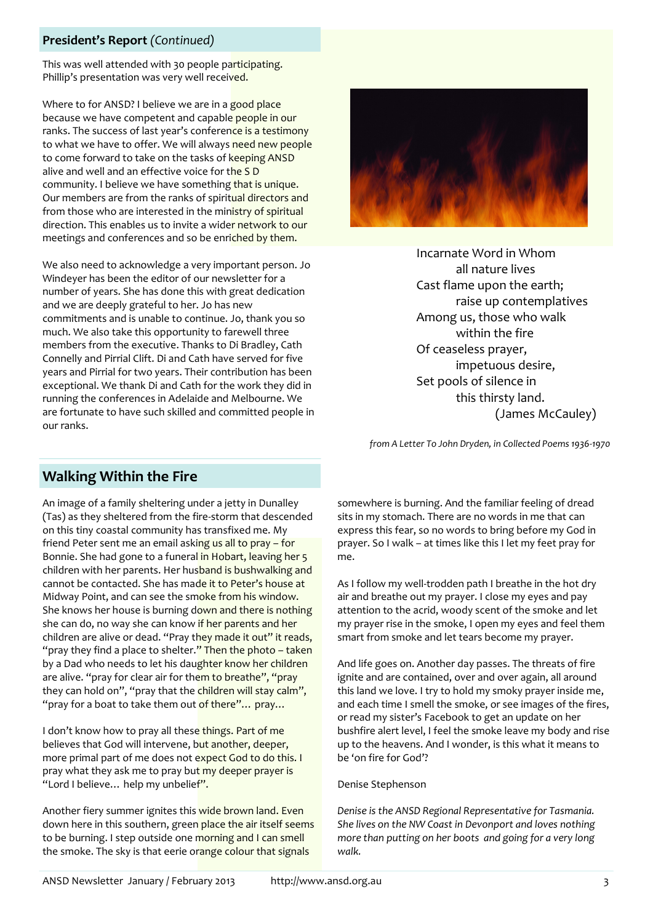### **President's Report** *(Continued)*

This was well attended with 30 people participating. Phillip's presentation was very well received.

Where to for ANSD? I believe we are in a good place because we have competent and capable people in our ranks. The success of last year's conference is a testimony to what we have to offer. We will always need new people to come forward to take on the tasks of keeping ANSD alive and well and an effective voice for the SD community. I believe we have something that is unique. Our members are from the ranks of spiritual directors and from those who are interested in the ministry of spiritual direction. This enables us to invite a wider network to our meetings and conferences and so be enriched by them.

We also need to acknowledge a very important person. Jo Windeyer has been the editor of our newsletter for a number of years. She has done this with great dedication and we are deeply grateful to her. Jo has new commitments and is unable to continue. Jo, thank you so much. We also take this opportunity to farewell three members from the executive. Thanks to Di Bradley, Cath Connelly and Pirrial Clift. Di and Cath have served for five years and Pirrial for two years. Their contribution has been exceptional. We thank Di and Cath for the work they did in running the conferences in Adelaide and Melbourne. We are fortunate to have such skilled and committed people in our ranks.



Incarnate Word in Whom all nature lives Cast flame upon the earth; raise up contemplatives Among us, those who walk within the fire Of ceaseless prayer, impetuous desire, Set pools of silence in this thirsty land. (James McCauley)

*from A Letter To John Dryden, in Collected Poems 1936-1970*

# **Walking Within the Fire**

An image of a family sheltering under a jetty in Dunalley (Tas) as they sheltered from the fire-storm that descended on this tiny coastal community has transfixed me. My friend Peter sent me an email asking us all to pray - for Bonnie. She had gone to a funeral in Hobart, leaving her 5 children with her parents. Her husband is bushwalking and cannot be contacted. She has made it to Peter's house at Midway Point, and can see the smoke from his window. She knows her house is burning down and there is nothing she can do, no way she can know if her parents and her children are alive or dead. "Pray they made it out" it reads, "pray they find a place to shelter." Then the photo - taken by a Dad who needs to let his daughter know her children are alive. "pray for clear air for them to breathe", "pray they can hold on", "pray that the children will stay calm", "pray for a boat to take them out of there"... pray...

I don't know how to pray all these things. Part of me believes that God will intervene, but another, deeper, more primal part of me does not expect God to do this. I pray what they ask me to pray but my deeper prayer is "Lord I believe... help my unbelief".

Another fiery summer ignites this wide brown land. Even down here in this southern, green place the air itself seems to be burning. I step outside one morning and I can smell the smoke. The sky is that eerie orange colour that signals

somewhere is burning. And the familiar feeling of dread sits in my stomach. There are no words in me that can express this fear, so no words to bring before my God in prayer. So I walk – at times like this I let my feet pray for me.

As I follow my well-trodden path I breathe in the hot dry air and breathe out my prayer. I close my eyes and pay attention to the acrid, woody scent of the smoke and let my prayer rise in the smoke, I open my eyes and feel them smart from smoke and let tears become my prayer.

And life goes on. Another day passes. The threats of fire ignite and are contained, over and over again, all around this land we love. I try to hold my smoky prayer inside me, and each time I smell the smoke, or see images of the fires, or read my sister's Facebook to get an update on her bushfire alert level, I feel the smoke leave my body and rise up to the heavens. And I wonder, is this what it means to be 'on fire for God'?

#### Denise Stephenson

*Denise is the ANSD Regional Representative for Tasmania. She lives on the NW Coast in Devonport and loves nothing more than putting on her boots and going for a very long walk.*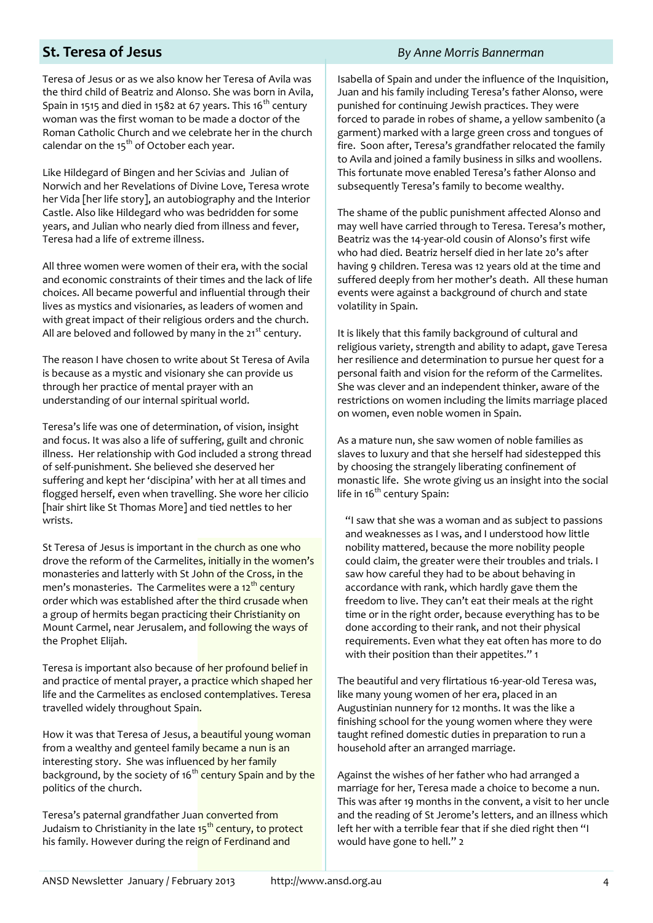### **St. Teresa of Jesus** *By Anne Morris Bannerman*

Teresa of Jesus or as we also know her Teresa of Avila was the third child of Beatriz and Alonso. She was born in Avila, Spain in 1515 and died in 1582 at 67 years. This 16<sup>th</sup> century woman was the first woman to be made a doctor of the Roman Catholic Church and we celebrate her in the church calendar on the  $15<sup>th</sup>$  of October each year.

Like Hildegard of Bingen and her Scivias and Julian of Norwich and her Revelations of Divine Love, Teresa wrote her Vida [her life story], an autobiography and the Interior Castle. Also like Hildegard who was bedridden for some years, and Julian who nearly died from illness and fever, Teresa had a life of extreme illness.

All three women were women of their era, with the social and economic constraints of their times and the lack of life choices. All became powerful and influential through their lives as mystics and visionaries, as leaders of women and with great impact of their religious orders and the church. All are beloved and followed by many in the  $21^{st}$  century.

The reason I have chosen to write about St Teresa of Avila is because as a mystic and visionary she can provide us through her practice of mental prayer with an understanding of our internal spiritual world.

Teresa's life was one of determination, of vision, insight and focus. It was also a life of suffering, guilt and chronic illness. Her relationship with God included a strong thread of self-punishment. She believed she deserved her suffering and kept her 'discipina' with her at all times and flogged herself, even when travelling. She wore her cilicio [hair shirt like St Thomas More] and tied nettles to her wrists.

St Teresa of Jesus is important in the church as one who drove the reform of the Carmelites, initially in the women's monasteries and latterly with St John of the Cross, in the men's monasteries. The Carmelites were a 12<sup>th</sup> century order which was established after the third crusade when a group of hermits began practicing their Christianity on Mount Carmel, near Jerusalem, and following the ways of the Prophet Elijah.

Teresa is important also because of her profound belief in and practice of mental prayer, a practice which shaped her life and the Carmelites as enclosed contemplatives. Teresa travelled widely throughout Spain.

How it was that Teresa of Jesus, a beautiful young woman from a wealthy and genteel family became a nun is an interesting story. She was influenced by her family background, by the society of 16<sup>th</sup> century Spain and by the politics of the church.

Teresa's paternal grandfather Juan converted from Judaism to Christianity in the late 15<sup>th</sup> century, to protect his family. However during the reign of Ferdinand and

Isabella of Spain and under the influence of the Inquisition, Juan and his family including Teresa's father Alonso, were punished for continuing Jewish practices. They were forced to parade in robes of shame, a yellow sambenito (a garment) marked with a large green cross and tongues of fire. Soon after, Teresa's grandfather relocated the family to Avila and joined a family business in silks and woollens. This fortunate move enabled Teresa's father Alonso and subsequently Teresa's family to become wealthy.

The shame of the public punishment affected Alonso and may well have carried through to Teresa. Teresa's mother, Beatriz was the 14-year-old cousin of Alonso's first wife who had died. Beatriz herself died in her late 20's after having 9 children. Teresa was 12 years old at the time and suffered deeply from her mother's death. All these human events were against a background of church and state volatility in Spain.

It is likely that this family background of cultural and religious variety, strength and ability to adapt, gave Teresa her resilience and determination to pursue her quest for a personal faith and vision for the reform of the Carmelites. She was clever and an independent thinker, aware of the restrictions on women including the limits marriage placed on women, even noble women in Spain.

As a mature nun, she saw women of noble families as slaves to luxury and that she herself had sidestepped this by choosing the strangely liberating confinement of monastic life. She wrote giving us an insight into the social life in  $16<sup>th</sup>$  century Spain:

"I saw that she was a woman and as subject to passions and weaknesses as I was, and I understood how little nobility mattered, because the more nobility people could claim, the greater were their troubles and trials. I saw how careful they had to be about behaving in accordance with rank, which hardly gave them the freedom to live. They can't eat their meals at the right time or in the right order, because everything has to be done according to their rank, and not their physical requirements. Even what they eat often has more to do with their position than their appetites." 1

The beautiful and very flirtatious 16-year-old Teresa was, like many young women of her era, placed in an Augustinian nunnery for 12 months. It was the like a finishing school for the young women where they were taught refined domestic duties in preparation to run a household after an arranged marriage.

Against the wishes of her father who had arranged a marriage for her, Teresa made a choice to become a nun. This was after 19 months in the convent, a visit to her uncle and the reading of St Jerome's letters, and an illness which left her with a terrible fear that if she died right then "I would have gone to hell." 2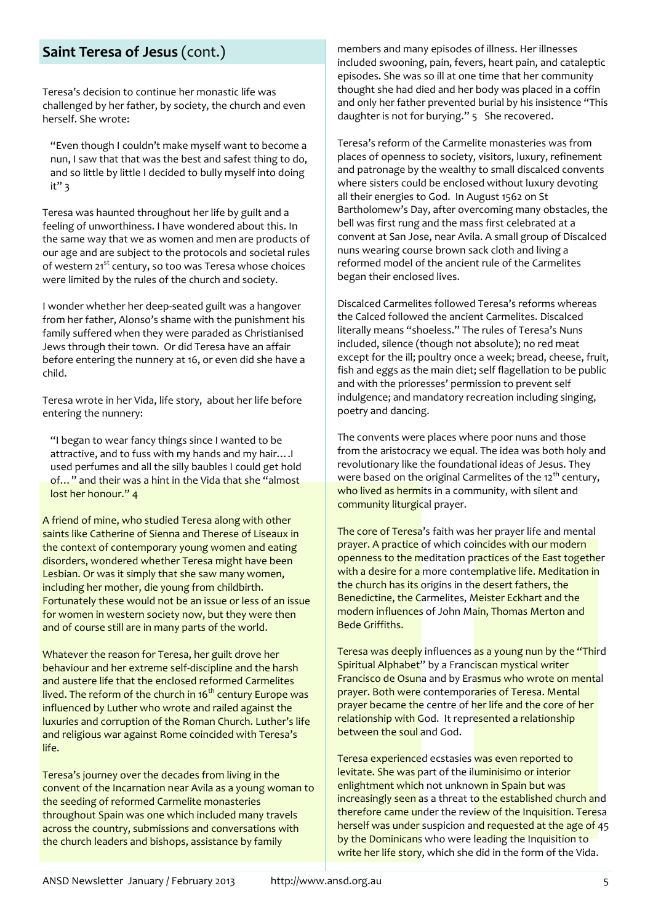# **Saint Teresa of Jesus** (cont.)

Teresa's decision to continue her monastic life was challenged by her father, by society, the church and even herself. She wrote:

"Even though I couldn't make myself want to become a nun, I saw that that was the best and safest thing to do, and so little by little I decided to bully myself into doing  $it"$  3

Teresa was haunted throughout her life by guilt and a feeling of unworthiness. I have wondered about this. In the same way that we as women and men are products of our age and are subject to the protocols and societal rules of western 21<sup>st</sup> century, so too was Teresa whose choices were limited by the rules of the church and society.

I wonder whether her deep-seated guilt was a hangover from her father, Alonso's shame with the punishment his family suffered when they were paraded as Christianised Jews through their town. Or did Teresa have an affair before entering the nunnery at 16, or even did she have a child.

Teresa wrote in her Vida, life story, about her life before entering the nunnery:

"I began to wear fancy things since I wanted to be attractive, and to fuss with my hands and my hair….I used perfumes and all the silly baubles I could get hold of…" and their was a hint in the Vida that she "almost lost her honour." 4

A friend of mine, who studied Teresa along with other saints like Catherine of Sienna and Therese of Liseaux in the context of contemporary young women and eating disorders, wondered whether Teresa might have been Lesbian. Or was it simply that she saw many women, including her mother, die young from childbirth. Fortunately these would not be an issue or less of an issue for women in western society now, but they were then and of course still are in many parts of the world.

Whatever the reason for Teresa, her guilt drove her behaviour and her extreme self-discipline and the harsh and austere life that the enclosed reformed Carmelites lived. The reform of the church in  $16<sup>th</sup>$  century Europe was influenced by Luther who wrote and railed against the luxuries and corruption of the Roman Church. Luther's life and religious war against Rome coincided with Teresa's life.

Teresa's journey over the decades from living in the convent of the Incarnation near Avila as a young woman to the seeding of reformed Carmelite monasteries throughout Spain was one which included many travels across the country, submissions and conversations with the church leaders and bishops, assistance by family

members and many episodes of illness. Her illnesses included swooning, pain, fevers, heart pain, and cataleptic episodes. She was so ill at one time that her community thought she had died and her body was placed in a coffin and only her father prevented burial by his insistence "This daughter is not for burying." 5 She recovered.

Teresa's reform of the Carmelite monasteries was from places of openness to society, visitors, luxury, refinement and patronage by the wealthy to small discalced convents where sisters could be enclosed without luxury devoting all their energies to God. In August 1562 on St Bartholomew's Day, after overcoming many obstacles, the bell was first rung and the mass first celebrated at a convent at San Jose, near Avila. A small group of Discalced nuns wearing course brown sack cloth and living a reformed model of the ancient rule of the Carmelites began their enclosed lives.

Discalced Carmelites followed Teresa's reforms whereas the Calced followed the ancient Carmelites. Discalced literally means "shoeless." The rules of Teresa's Nuns included, silence (though not absolute); no red meat except for the ill; poultry once a week; bread, cheese, fruit, fish and eggs as the main diet; self flagellation to be public and with the prioresses' permission to prevent self indulgence; and mandatory recreation including singing, poetry and dancing.

The convents were places where poor nuns and those from the aristocracy we equal. The idea was both holy and revolutionary like the foundational ideas of Jesus. They were based on the original Carmelites of the  $12<sup>th</sup>$  century, who lived as hermits in a community, with silent and community liturgical prayer.

The core of Teresa's faith was her prayer life and mental prayer. A practice of which coincides with our modern openness to the meditation practices of the East together with a desire for a more contemplative life. Meditation in the church has its origins in the desert fathers, the Benedictine, the Carmelites, Meister Eckhart and the modern influences of John Main, Thomas Merton and Bede Griffiths.

Teresa was deeply influences as a young nun by the "Third Spiritual Alphabet" by a Franciscan mystical writer Francisco de Osuna and by Erasmus who wrote on mental prayer. Both were contemporaries of Teresa. Mental prayer became the centre of her life and the core of her relationship with God. It represented a relationship between the soul and God.

Teresa experienced ecstasies was even reported to levitate. She was part of the iluminisimo or interior enlightment which not unknown in Spain but was increasingly seen as a threat to the established church and therefore came under the review of the Inquisition. Teresa herself was under suspicion and requested at the age of 45 by the Dominicans who were leading the Inquisition to write her life story, which she did in the form of the Vida.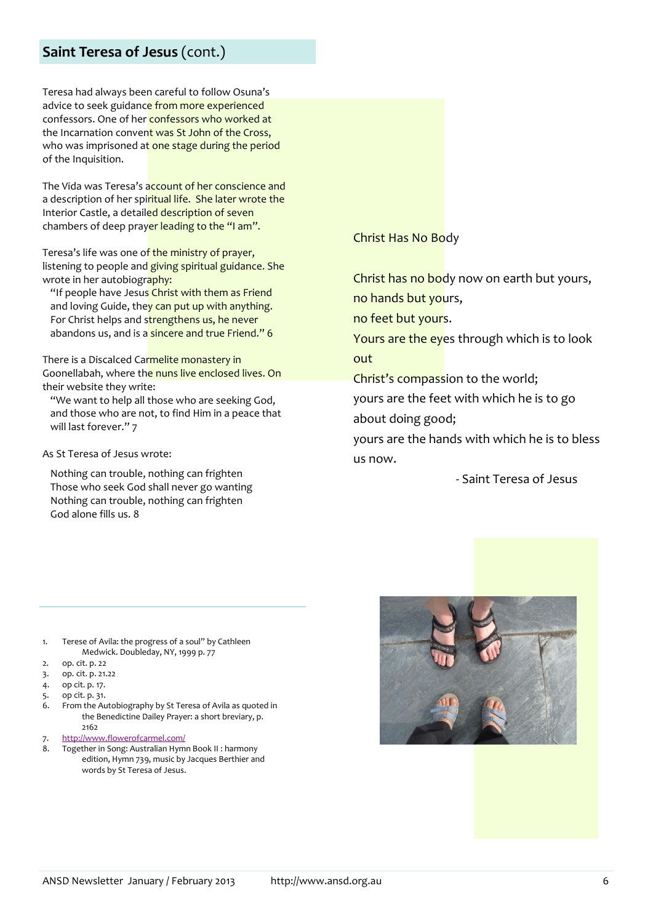## **Saint Teresa of Jesus** (cont.)

Teresa had always been careful to follow Osuna's advice to seek guidance from more experienced confessors. One of her confessors who worked at the Incarnation convent was St John of the Cross, who was imprisoned at one stage during the period of the Inquisition.

The Vida was Teresa's account of her conscience and a description of her spiritual life. She later wrote the Interior Castle, a detailed description of seven chambers of deep prayer leading to the "I am".

Teresa's life was one of the ministry of prayer, listening to people and giving spiritual guidance. She wrote in her autobiography:

"If people have Jesus Christ with them as Friend and loving Guide, they can put up with anything. For Christ helps and strengthens us, he never abandons us, and is a sincere and true Friend." 6

There is a Discalced Carmelite monastery in Goonellabah, where the nuns live enclosed lives. On their website they write:

"We want to help all those who are seeking God, and those who are not, to find Him in a peace that will last forever." 7

As St Teresa of Jesus wrote:

Nothing can trouble, nothing can frighten Those who seek God shall never go wanting Nothing can trouble, nothing can frighten God alone fills us. 8

Christ Has No Body

Christ has no body now on earth but yours, no hands but yours,

no feet but yours.

Yours are the eyes through which is to look out

Christ's compassion to the world;

yours are the feet with which he is to go about doing good;

yours are the hands with which he is to bless us now.

- Saint Teresa of Jesus

- 1. Terese of Avila: the progress of a soul" by Cathleen Medwick. Doubleday, NY, 1999 p. 77
- 2. op. cit. p. 22
- 3. op. cit. p. 21.22
- 4. op cit. p. 17.
- 5. op cit. p. 31.
- 6. From the Autobiography by St Teresa of Avila as quoted in the Benedictine Dailey Prayer: a short breviary, p. 2162
- 7. <http://www.flowerofcarmel.com/>
- 8. Together in Song: Australian Hymn Book II : harmony edition, Hymn 739, music by Jacques Berthier and words by St Teresa of Jesus.